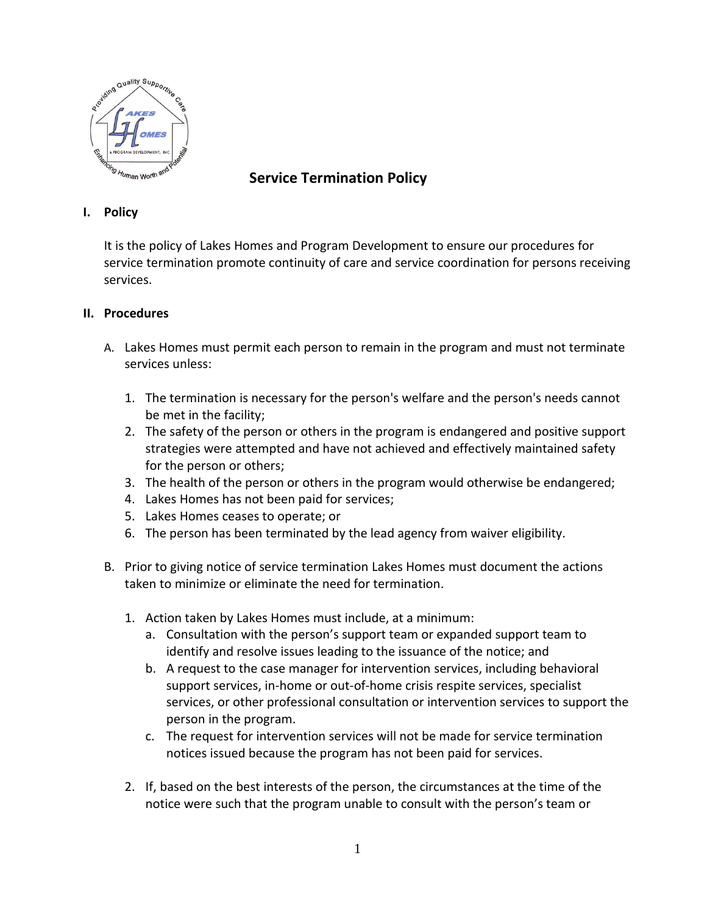

## **Service Termination Policy**

## **I. Policy**

It is the policy of Lakes Homes and Program Development to ensure our procedures for service termination promote continuity of care and service coordination for persons receiving services.

## **II. Procedures**

- A. Lakes Homes must permit each person to remain in the program and must not terminate services unless:
	- 1. The termination is necessary for the person's welfare and the person's needs cannot be met in the facility;
	- 2. The safety of the person or others in the program is endangered and positive support strategies were attempted and have not achieved and effectively maintained safety for the person or others;
	- 3. The health of the person or others in the program would otherwise be endangered;
	- 4. Lakes Homes has not been paid for services;
	- 5. Lakes Homes ceases to operate; or
	- 6. The person has been terminated by the lead agency from waiver eligibility.
- B. Prior to giving notice of service termination Lakes Homes must document the actions taken to minimize or eliminate the need for termination.
	- 1. Action taken by Lakes Homes must include, at a minimum:
		- a. Consultation with the person's support team or expanded support team to identify and resolve issues leading to the issuance of the notice; and
		- b. A request to the case manager for intervention services, including behavioral support services, in-home or out-of-home crisis respite services, specialist services, or other professional consultation or intervention services to support the person in the program.
		- c. The request for intervention services will not be made for service termination notices issued because the program has not been paid for services.
	- 2. If, based on the best interests of the person, the circumstances at the time of the notice were such that the program unable to consult with the person's team or